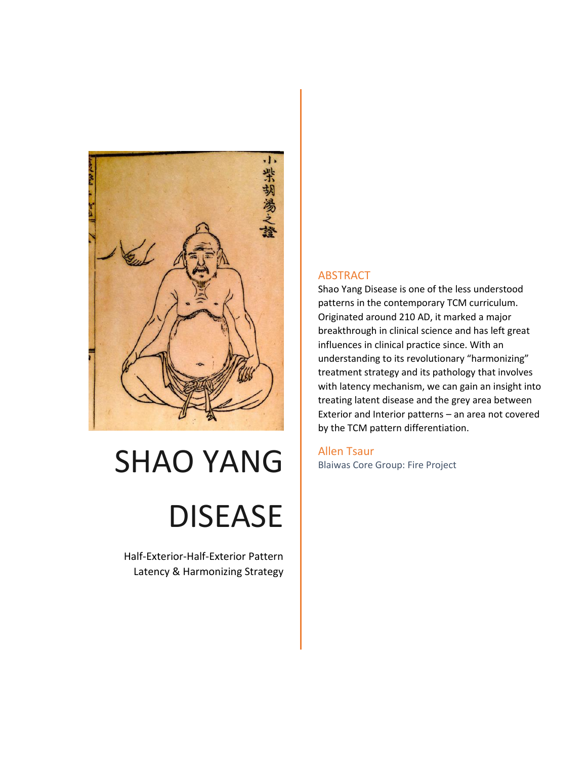

# SHAO YANG DISEASE

Half-Exterior-Half-Exterior Pattern Latency & Harmonizing Strategy

#### ABSTRACT

Shao Yang Disease is one of the less understood patterns in the contemporary TCM curriculum. Originated around 210 AD, it marked a major breakthrough in clinical science and has left great influences in clinical practice since. With an understanding to its revolutionary "harmonizing" treatment strategy and its pathology that involves with latency mechanism, we can gain an insight into treating latent disease and the grey area between Exterior and Interior patterns – an area not covered by the TCM pattern differentiation.

Allen Tsaur Blaiwas Core Group: Fire Project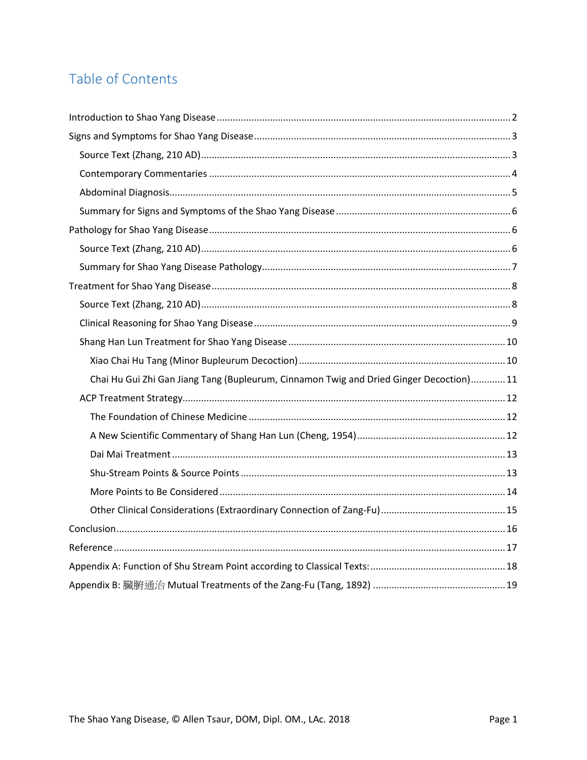# Table of Contents

| Chai Hu Gui Zhi Gan Jiang Tang (Bupleurum, Cinnamon Twig and Dried Ginger Decoction) 11 |
|-----------------------------------------------------------------------------------------|
|                                                                                         |
|                                                                                         |
|                                                                                         |
|                                                                                         |
|                                                                                         |
|                                                                                         |
|                                                                                         |
|                                                                                         |
|                                                                                         |
|                                                                                         |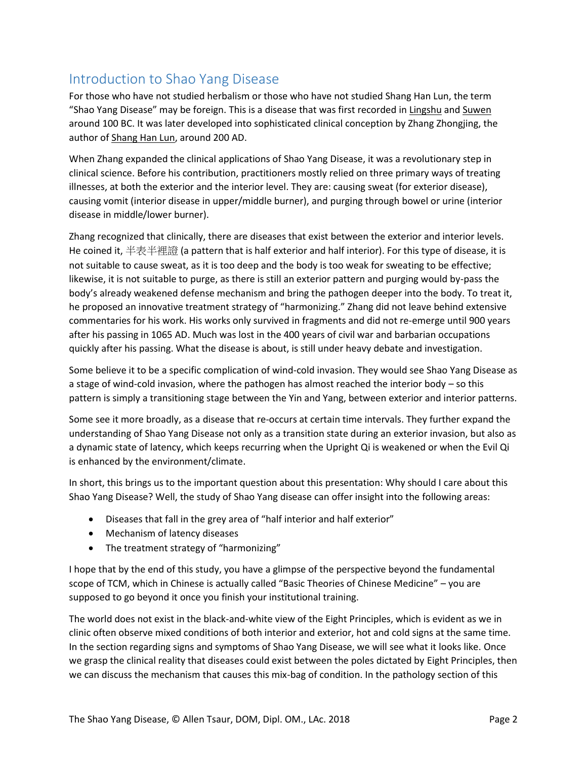## <span id="page-2-0"></span>Introduction to Shao Yang Disease

For those who have not studied herbalism or those who have not studied Shang Han Lun, the term "Shao Yang Disease" may be foreign. This is a disease that was first recorded in Lingshu and Suwen around 100 BC. It was later developed into sophisticated clinical conception by Zhang Zhongjing, the author of Shang Han Lun, around 200 AD.

When Zhang expanded the clinical applications of Shao Yang Disease, it was a revolutionary step in clinical science. Before his contribution, practitioners mostly relied on three primary ways of treating illnesses, at both the exterior and the interior level. They are: causing sweat (for exterior disease), causing vomit (interior disease in upper/middle burner), and purging through bowel or urine (interior disease in middle/lower burner).

Zhang recognized that clinically, there are diseases that exist between the exterior and interior levels. He coined it, 半表半裡證 (a pattern that is half exterior and half interior). For this type of disease, it is not suitable to cause sweat, as it is too deep and the body is too weak for sweating to be effective; likewise, it is not suitable to purge, as there is still an exterior pattern and purging would by-pass the body's already weakened defense mechanism and bring the pathogen deeper into the body. To treat it, he proposed an innovative treatment strategy of "harmonizing." Zhang did not leave behind extensive commentaries for his work. His works only survived in fragments and did not re-emerge until 900 years after his passing in 1065 AD. Much was lost in the 400 years of civil war and barbarian occupations quickly after his passing. What the disease is about, is still under heavy debate and investigation.

Some believe it to be a specific complication of wind-cold invasion. They would see Shao Yang Disease as a stage of wind-cold invasion, where the pathogen has almost reached the interior body – so this pattern is simply a transitioning stage between the Yin and Yang, between exterior and interior patterns.

Some see it more broadly, as a disease that re-occurs at certain time intervals. They further expand the understanding of Shao Yang Disease not only as a transition state during an exterior invasion, but also as a dynamic state of latency, which keeps recurring when the Upright Qi is weakened or when the Evil Qi is enhanced by the environment/climate.

In short, this brings us to the important question about this presentation: Why should I care about this Shao Yang Disease? Well, the study of Shao Yang disease can offer insight into the following areas:

- Diseases that fall in the grey area of "half interior and half exterior"
- Mechanism of latency diseases
- The treatment strategy of "harmonizing"

I hope that by the end of this study, you have a glimpse of the perspective beyond the fundamental scope of TCM, which in Chinese is actually called "Basic Theories of Chinese Medicine" – you are supposed to go beyond it once you finish your institutional training.

The world does not exist in the black-and-white view of the Eight Principles, which is evident as we in clinic often observe mixed conditions of both interior and exterior, hot and cold signs at the same time. In the section regarding signs and symptoms of Shao Yang Disease, we will see what it looks like. Once we grasp the clinical reality that diseases could exist between the poles dictated by Eight Principles, then we can discuss the mechanism that causes this mix-bag of condition. In the pathology section of this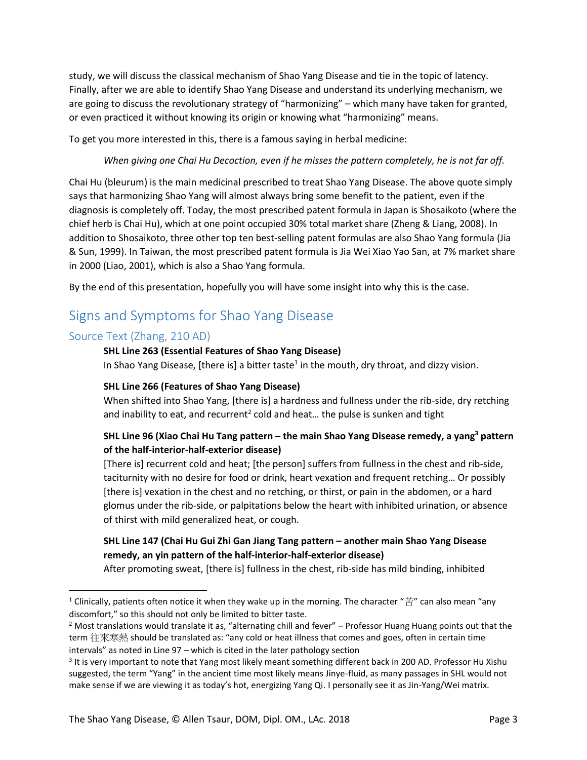study, we will discuss the classical mechanism of Shao Yang Disease and tie in the topic of latency. Finally, after we are able to identify Shao Yang Disease and understand its underlying mechanism, we are going to discuss the revolutionary strategy of "harmonizing" – which many have taken for granted, or even practiced it without knowing its origin or knowing what "harmonizing" means.

To get you more interested in this, there is a famous saying in herbal medicine:

#### *When giving one Chai Hu Decoction, even if he misses the pattern completely, he is not far off.*

Chai Hu (bleurum) is the main medicinal prescribed to treat Shao Yang Disease. The above quote simply says that harmonizing Shao Yang will almost always bring some benefit to the patient, even if the diagnosis is completely off. Today, the most prescribed patent formula in Japan is Shosaikoto (where the chief herb is Chai Hu), which at one point occupied 30% total market share (Zheng & Liang, 2008). In addition to Shosaikoto, three other top ten best-selling patent formulas are also Shao Yang formula (Jia & Sun, 1999). In Taiwan, the most prescribed patent formula is Jia Wei Xiao Yao San, at 7% market share in 2000 (Liao, 2001), which is also a Shao Yang formula.

By the end of this presentation, hopefully you will have some insight into why this is the case.

## <span id="page-3-0"></span>Signs and Symptoms for Shao Yang Disease

#### <span id="page-3-1"></span>Source Text (Zhang, 210 AD)

 $\overline{\phantom{a}}$ 

#### **SHL Line 263 (Essential Features of Shao Yang Disease)**

In Shao Yang Disease, [there is] a bitter taste<sup>1</sup> in the mouth, dry throat, and dizzy vision.

#### **SHL Line 266 (Features of Shao Yang Disease)**

When shifted into Shao Yang, [there is] a hardness and fullness under the rib-side, dry retching and inability to eat, and recurrent<sup>2</sup> cold and heat... the pulse is sunken and tight

#### **SHL Line 96 (Xiao Chai Hu Tang pattern – the main Shao Yang Disease remedy, a yang<sup>3</sup> pattern of the half-interior-half-exterior disease)**

[There is] recurrent cold and heat; [the person] suffers from fullness in the chest and rib-side, taciturnity with no desire for food or drink, heart vexation and frequent retching… Or possibly [there is] vexation in the chest and no retching, or thirst, or pain in the abdomen, or a hard glomus under the rib-side, or palpitations below the heart with inhibited urination, or absence of thirst with mild generalized heat, or cough.

#### **SHL Line 147 (Chai Hu Gui Zhi Gan Jiang Tang pattern – another main Shao Yang Disease remedy, an yin pattern of the half-interior-half-exterior disease)**

After promoting sweat, [there is] fullness in the chest, rib-side has mild binding, inhibited

<sup>&</sup>lt;sup>1</sup> Clinically, patients often notice it when they wake up in the morning. The character " $\ddot{E}$ " can also mean "any discomfort," so this should not only be limited to bitter taste.

 $2$  Most translations would translate it as, "alternating chill and fever" – Professor Huang Huang points out that the term 往來寒熱 should be translated as: "any cold or heat illness that comes and goes, often in certain time intervals" as noted in Line 97 – which is cited in the later pathology section

<sup>&</sup>lt;sup>3</sup> It is very important to note that Yang most likely meant something different back in 200 AD. Professor Hu Xishu suggested, the term "Yang" in the ancient time most likely means Jinye-fluid, as many passages in SHL would not make sense if we are viewing it as today's hot, energizing Yang Qi. I personally see it as Jin-Yang/Wei matrix.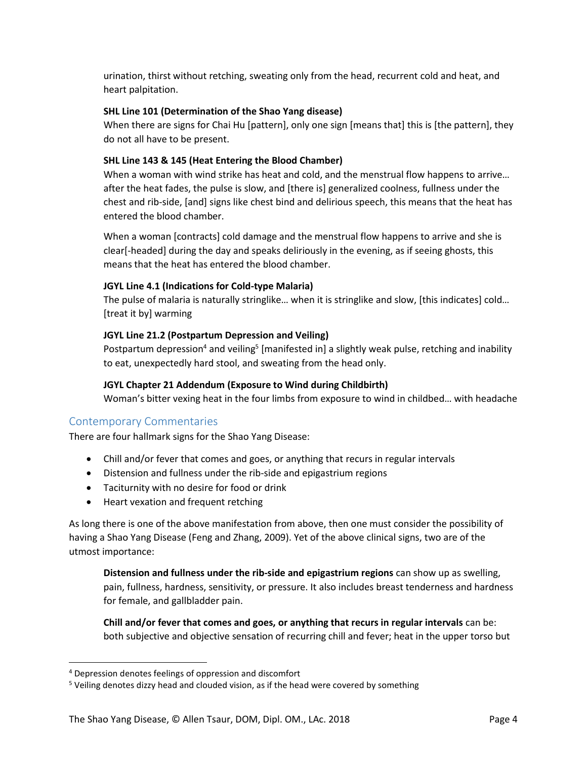urination, thirst without retching, sweating only from the head, recurrent cold and heat, and heart palpitation.

#### **SHL Line 101 (Determination of the Shao Yang disease)**

When there are signs for Chai Hu [pattern], only one sign [means that] this is [the pattern], they do not all have to be present.

#### **SHL Line 143 & 145 (Heat Entering the Blood Chamber)**

When a woman with wind strike has heat and cold, and the menstrual flow happens to arrive… after the heat fades, the pulse is slow, and [there is] generalized coolness, fullness under the chest and rib-side, [and] signs like chest bind and delirious speech, this means that the heat has entered the blood chamber.

When a woman [contracts] cold damage and the menstrual flow happens to arrive and she is clear[-headed] during the day and speaks deliriously in the evening, as if seeing ghosts, this means that the heat has entered the blood chamber.

#### **JGYL Line 4.1 (Indications for Cold-type Malaria)**

The pulse of malaria is naturally stringlike… when it is stringlike and slow, [this indicates] cold… [treat it by] warming

#### **JGYL Line 21.2 (Postpartum Depression and Veiling)**

Postpartum depression<sup>4</sup> and veiling<sup>5</sup> [manifested in] a slightly weak pulse, retching and inability to eat, unexpectedly hard stool, and sweating from the head only.

#### **JGYL Chapter 21 Addendum (Exposure to Wind during Childbirth)**

Woman's bitter vexing heat in the four limbs from exposure to wind in childbed… with headache

#### <span id="page-4-0"></span>Contemporary Commentaries

There are four hallmark signs for the Shao Yang Disease:

- Chill and/or fever that comes and goes, or anything that recurs in regular intervals
- Distension and fullness under the rib-side and epigastrium regions
- Taciturnity with no desire for food or drink
- Heart vexation and frequent retching

As long there is one of the above manifestation from above, then one must consider the possibility of having a Shao Yang Disease (Feng and Zhang, 2009). Yet of the above clinical signs, two are of the utmost importance:

**Distension and fullness under the rib-side and epigastrium regions** can show up as swelling, pain, fullness, hardness, sensitivity, or pressure. It also includes breast tenderness and hardness for female, and gallbladder pain.

**Chill and/or fever that comes and goes, or anything that recurs in regular intervals** can be: both subjective and objective sensation of recurring chill and fever; heat in the upper torso but

 $\overline{\phantom{a}}$ 

<sup>4</sup> Depression denotes feelings of oppression and discomfort

<sup>&</sup>lt;sup>5</sup> Veiling denotes dizzy head and clouded vision, as if the head were covered by something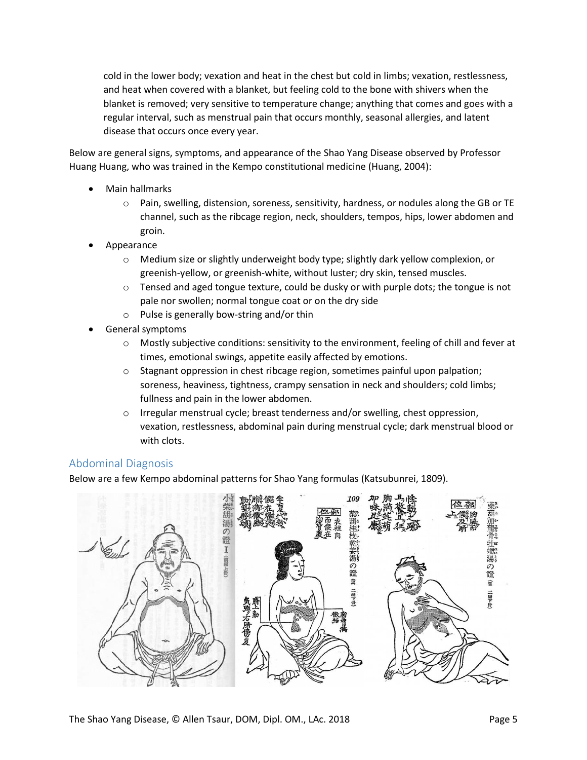cold in the lower body; vexation and heat in the chest but cold in limbs; vexation, restlessness, and heat when covered with a blanket, but feeling cold to the bone with shivers when the blanket is removed; very sensitive to temperature change; anything that comes and goes with a regular interval, such as menstrual pain that occurs monthly, seasonal allergies, and latent disease that occurs once every year.

Below are general signs, symptoms, and appearance of the Shao Yang Disease observed by Professor Huang Huang, who was trained in the Kempo constitutional medicine (Huang, 2004):

- Main hallmarks
	- $\circ$  Pain, swelling, distension, soreness, sensitivity, hardness, or nodules along the GB or TE channel, such as the ribcage region, neck, shoulders, tempos, hips, lower abdomen and groin.
- Appearance
	- $\circ$  Medium size or slightly underweight body type; slightly dark yellow complexion, or greenish-yellow, or greenish-white, without luster; dry skin, tensed muscles.
	- $\circ$  Tensed and aged tongue texture, could be dusky or with purple dots; the tongue is not pale nor swollen; normal tongue coat or on the dry side
	- o Pulse is generally bow-string and/or thin
- General symptoms
	- $\circ$  Mostly subjective conditions: sensitivity to the environment, feeling of chill and fever at times, emotional swings, appetite easily affected by emotions.
	- $\circ$  Stagnant oppression in chest ribcage region, sometimes painful upon palpation; soreness, heaviness, tightness, crampy sensation in neck and shoulders; cold limbs; fullness and pain in the lower abdomen.
	- $\circ$  Irregular menstrual cycle; breast tenderness and/or swelling, chest oppression, vexation, restlessness, abdominal pain during menstrual cycle; dark menstrual blood or with clots.

#### <span id="page-5-0"></span>Abdominal Diagnosis

Below are a few Kempo abdominal patterns for Shao Yang formulas (Katsubunrei, 1809).

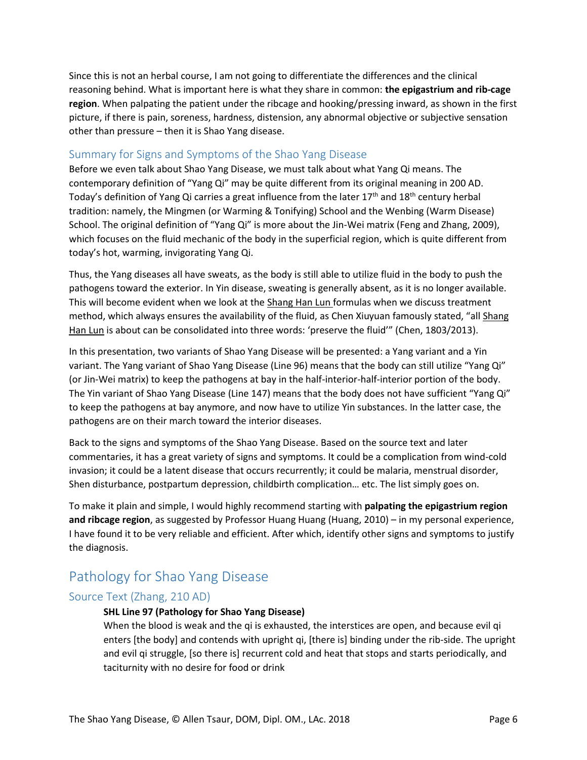Since this is not an herbal course, I am not going to differentiate the differences and the clinical reasoning behind. What is important here is what they share in common: **the epigastrium and rib-cage region**. When palpating the patient under the ribcage and hooking/pressing inward, as shown in the first picture, if there is pain, soreness, hardness, distension, any abnormal objective or subjective sensation other than pressure – then it is Shao Yang disease.

#### <span id="page-6-0"></span>Summary for Signs and Symptoms of the Shao Yang Disease

Before we even talk about Shao Yang Disease, we must talk about what Yang Qi means. The contemporary definition of "Yang Qi" may be quite different from its original meaning in 200 AD. Today's definition of Yang Qi carries a great influence from the later  $17<sup>th</sup>$  and  $18<sup>th</sup>$  century herbal tradition: namely, the Mingmen (or Warming & Tonifying) School and the Wenbing (Warm Disease) School. The original definition of "Yang Qi" is more about the Jin-Wei matrix (Feng and Zhang, 2009), which focuses on the fluid mechanic of the body in the superficial region, which is quite different from today's hot, warming, invigorating Yang Qi.

Thus, the Yang diseases all have sweats, as the body is still able to utilize fluid in the body to push the pathogens toward the exterior. In Yin disease, sweating is generally absent, as it is no longer available. This will become evident when we look at the Shang Han Lun formulas when we discuss treatment method, which always ensures the availability of the fluid, as Chen Xiuyuan famously stated, "all Shang Han Lun is about can be consolidated into three words: 'preserve the fluid'" (Chen, 1803/2013).

In this presentation, two variants of Shao Yang Disease will be presented: a Yang variant and a Yin variant. The Yang variant of Shao Yang Disease (Line 96) means that the body can still utilize "Yang Qi" (or Jin-Wei matrix) to keep the pathogens at bay in the half-interior-half-interior portion of the body. The Yin variant of Shao Yang Disease (Line 147) means that the body does not have sufficient "Yang Qi" to keep the pathogens at bay anymore, and now have to utilize Yin substances. In the latter case, the pathogens are on their march toward the interior diseases.

Back to the signs and symptoms of the Shao Yang Disease. Based on the source text and later commentaries, it has a great variety of signs and symptoms. It could be a complication from wind-cold invasion; it could be a latent disease that occurs recurrently; it could be malaria, menstrual disorder, Shen disturbance, postpartum depression, childbirth complication… etc. The list simply goes on.

To make it plain and simple, I would highly recommend starting with **palpating the epigastrium region and ribcage region**, as suggested by Professor Huang Huang (Huang, 2010) – in my personal experience, I have found it to be very reliable and efficient. After which, identify other signs and symptoms to justify the diagnosis.

## <span id="page-6-1"></span>Pathology for Shao Yang Disease

#### <span id="page-6-2"></span>Source Text (Zhang, 210 AD)

#### **SHL Line 97 (Pathology for Shao Yang Disease)**

When the blood is weak and the qi is exhausted, the interstices are open, and because evil qi enters [the body] and contends with upright qi, [there is] binding under the rib-side. The upright and evil qi struggle, [so there is] recurrent cold and heat that stops and starts periodically, and taciturnity with no desire for food or drink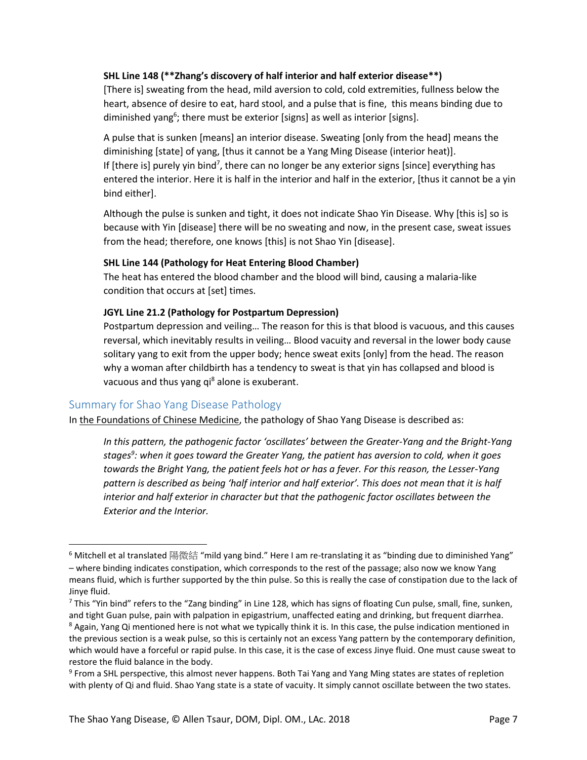#### **SHL Line 148 (\*\*Zhang's discovery of half interior and half exterior disease\*\*)**

[There is] sweating from the head, mild aversion to cold, cold extremities, fullness below the heart, absence of desire to eat, hard stool, and a pulse that is fine, this means binding due to diminished yang<sup>6</sup>; there must be exterior [signs] as well as interior [signs].

A pulse that is sunken [means] an interior disease. Sweating [only from the head] means the diminishing [state] of yang, [thus it cannot be a Yang Ming Disease (interior heat)]. If [there is] purely yin bind<sup>7</sup>, there can no longer be any exterior signs [since] everything has entered the interior. Here it is half in the interior and half in the exterior, [thus it cannot be a yin bind either].

Although the pulse is sunken and tight, it does not indicate Shao Yin Disease. Why [this is] so is because with Yin [disease] there will be no sweating and now, in the present case, sweat issues from the head; therefore, one knows [this] is not Shao Yin [disease].

#### **SHL Line 144 (Pathology for Heat Entering Blood Chamber)**

The heat has entered the blood chamber and the blood will bind, causing a malaria-like condition that occurs at [set] times.

#### **JGYL Line 21.2 (Pathology for Postpartum Depression)**

Postpartum depression and veiling… The reason for this is that blood is vacuous, and this causes reversal, which inevitably results in veiling… Blood vacuity and reversal in the lower body cause solitary yang to exit from the upper body; hence sweat exits [only] from the head. The reason why a woman after childbirth has a tendency to sweat is that yin has collapsed and blood is vacuous and thus yang qi<sup>8</sup> alone is exuberant.

#### <span id="page-7-0"></span>Summary for Shao Yang Disease Pathology

 $\overline{\phantom{a}}$ 

In the Foundations of Chinese Medicine, the pathology of Shao Yang Disease is described as:

*In this pattern, the pathogenic factor 'oscillates' between the Greater-Yang and the Bright-Yang stages<sup>9</sup> : when it goes toward the Greater Yang, the patient has aversion to cold, when it goes towards the Bright Yang, the patient feels hot or has a fever. For this reason, the Lesser-Yang pattern is described as being 'half interior and half exterior'. This does not mean that it is half interior and half exterior in character but that the pathogenic factor oscillates between the Exterior and the Interior.*

 $6$  Mitchell et al translated 陽微結 "mild yang bind." Here I am re-translating it as "binding due to diminished Yang" – where binding indicates constipation, which corresponds to the rest of the passage; also now we know Yang means fluid, which is further supported by the thin pulse. So this is really the case of constipation due to the lack of Jinye fluid.

 $7$  This "Yin bind" refers to the "Zang binding" in Line 128, which has signs of floating Cun pulse, small, fine, sunken, and tight Guan pulse, pain with palpation in epigastrium, unaffected eating and drinking, but frequent diarrhea. <sup>8</sup> Again, Yang Qi mentioned here is not what we typically think it is. In this case, the pulse indication mentioned in the previous section is a weak pulse, so this is certainly not an excess Yang pattern by the contemporary definition, which would have a forceful or rapid pulse. In this case, it is the case of excess Jinye fluid. One must cause sweat to restore the fluid balance in the body.

<sup>&</sup>lt;sup>9</sup> From a SHL perspective, this almost never happens. Both Tai Yang and Yang Ming states are states of repletion with plenty of Qi and fluid. Shao Yang state is a state of vacuity. It simply cannot oscillate between the two states.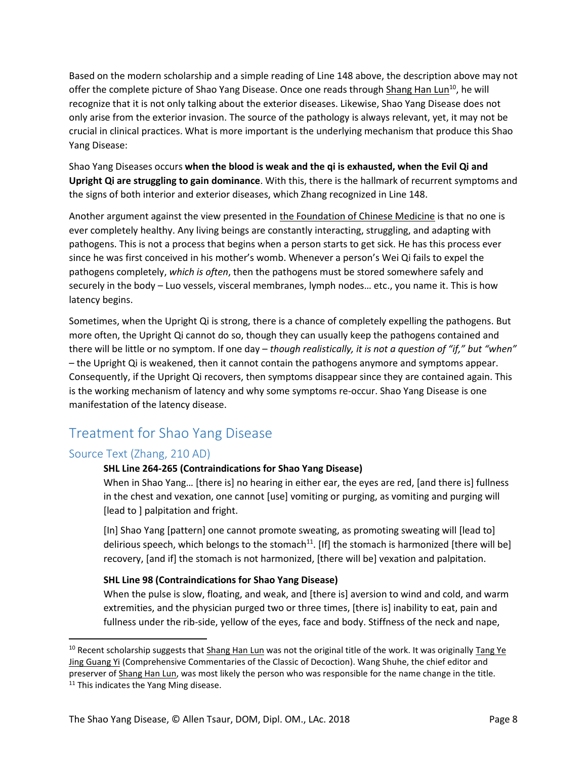Based on the modern scholarship and a simple reading of Line 148 above, the description above may not offer the complete picture of Shao Yang Disease. Once one reads through Shang Han Lun<sup>10</sup>, he will recognize that it is not only talking about the exterior diseases. Likewise, Shao Yang Disease does not only arise from the exterior invasion. The source of the pathology is always relevant, yet, it may not be crucial in clinical practices. What is more important is the underlying mechanism that produce this Shao Yang Disease:

Shao Yang Diseases occurs **when the blood is weak and the qi is exhausted, when the Evil Qi and Upright Qi are struggling to gain dominance**. With this, there is the hallmark of recurrent symptoms and the signs of both interior and exterior diseases, which Zhang recognized in Line 148.

Another argument against the view presented in the Foundation of Chinese Medicine is that no one is ever completely healthy. Any living beings are constantly interacting, struggling, and adapting with pathogens. This is not a process that begins when a person starts to get sick. He has this process ever since he was first conceived in his mother's womb. Whenever a person's Wei Qi fails to expel the pathogens completely, *which is often*, then the pathogens must be stored somewhere safely and securely in the body – Luo vessels, visceral membranes, lymph nodes… etc., you name it. This is how latency begins.

Sometimes, when the Upright Qi is strong, there is a chance of completely expelling the pathogens. But more often, the Upright Qi cannot do so, though they can usually keep the pathogens contained and there will be little or no symptom. If one day – *though realistically, it is not a question of "if," but "when"*  – the Upright Qi is weakened, then it cannot contain the pathogens anymore and symptoms appear. Consequently, if the Upright Qi recovers, then symptoms disappear since they are contained again. This is the working mechanism of latency and why some symptoms re-occur. Shao Yang Disease is one manifestation of the latency disease.

## <span id="page-8-0"></span>Treatment for Shao Yang Disease

#### <span id="page-8-1"></span>Source Text (Zhang, 210 AD)

#### **SHL Line 264-265 (Contraindications for Shao Yang Disease)**

When in Shao Yang… [there is] no hearing in either ear, the eyes are red, [and there is] fullness in the chest and vexation, one cannot [use] vomiting or purging, as vomiting and purging will [lead to ] palpitation and fright.

[In] Shao Yang [pattern] one cannot promote sweating, as promoting sweating will [lead to] delirious speech, which belongs to the stomach<sup>11</sup>. [If] the stomach is harmonized [there will be] recovery, [and if] the stomach is not harmonized, [there will be] vexation and palpitation.

#### **SHL Line 98 (Contraindications for Shao Yang Disease)**

When the pulse is slow, floating, and weak, and [there is] aversion to wind and cold, and warm extremities, and the physician purged two or three times, [there is] inability to eat, pain and fullness under the rib-side, yellow of the eyes, face and body. Stiffness of the neck and nape,

l

 $10$  Recent scholarship suggests that Shang Han Lun was not the original title of the work. It was originally Tang Ye Jing Guang Yi (Comprehensive Commentaries of the Classic of Decoction). Wang Shuhe, the chief editor and preserver of Shang Han Lun, was most likely the person who was responsible for the name change in the title.

<sup>&</sup>lt;sup>11</sup> This indicates the Yang Ming disease.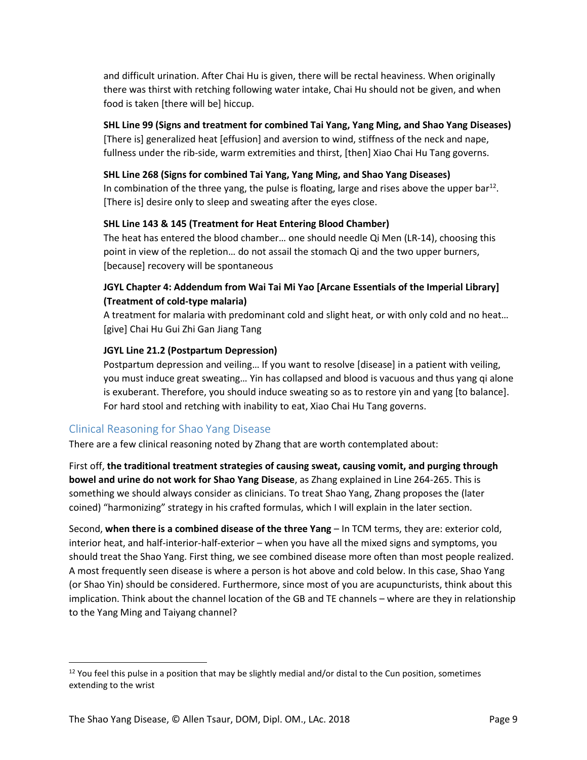and difficult urination. After Chai Hu is given, there will be rectal heaviness. When originally there was thirst with retching following water intake, Chai Hu should not be given, and when food is taken [there will be] hiccup.

#### **SHL Line 99 (Signs and treatment for combined Tai Yang, Yang Ming, and Shao Yang Diseases)**

[There is] generalized heat [effusion] and aversion to wind, stiffness of the neck and nape, fullness under the rib-side, warm extremities and thirst, [then] Xiao Chai Hu Tang governs.

#### **SHL Line 268 (Signs for combined Tai Yang, Yang Ming, and Shao Yang Diseases)**

In combination of the three yang, the pulse is floating, large and rises above the upper bar<sup>12</sup>. [There is] desire only to sleep and sweating after the eyes close.

#### **SHL Line 143 & 145 (Treatment for Heat Entering Blood Chamber)**

The heat has entered the blood chamber… one should needle Qi Men (LR-14), choosing this point in view of the repletion… do not assail the stomach Qi and the two upper burners, [because] recovery will be spontaneous

#### **JGYL Chapter 4: Addendum from Wai Tai Mi Yao [Arcane Essentials of the Imperial Library] (Treatment of cold-type malaria)**

A treatment for malaria with predominant cold and slight heat, or with only cold and no heat… [give] Chai Hu Gui Zhi Gan Jiang Tang

#### **JGYL Line 21.2 (Postpartum Depression)**

Postpartum depression and veiling… If you want to resolve [disease] in a patient with veiling, you must induce great sweating… Yin has collapsed and blood is vacuous and thus yang qi alone is exuberant. Therefore, you should induce sweating so as to restore yin and yang [to balance]. For hard stool and retching with inability to eat, Xiao Chai Hu Tang governs.

#### <span id="page-9-0"></span>Clinical Reasoning for Shao Yang Disease

 $\overline{\phantom{a}}$ 

There are a few clinical reasoning noted by Zhang that are worth contemplated about:

First off, **the traditional treatment strategies of causing sweat, causing vomit, and purging through bowel and urine do not work for Shao Yang Disease**, as Zhang explained in Line 264-265. This is something we should always consider as clinicians. To treat Shao Yang, Zhang proposes the (later coined) "harmonizing" strategy in his crafted formulas, which I will explain in the later section.

Second, **when there is a combined disease of the three Yang** – In TCM terms, they are: exterior cold, interior heat, and half-interior-half-exterior – when you have all the mixed signs and symptoms, you should treat the Shao Yang. First thing, we see combined disease more often than most people realized. A most frequently seen disease is where a person is hot above and cold below. In this case, Shao Yang (or Shao Yin) should be considered. Furthermore, since most of you are acupuncturists, think about this implication. Think about the channel location of the GB and TE channels – where are they in relationship to the Yang Ming and Taiyang channel?

<sup>&</sup>lt;sup>12</sup> You feel this pulse in a position that may be slightly medial and/or distal to the Cun position, sometimes extending to the wrist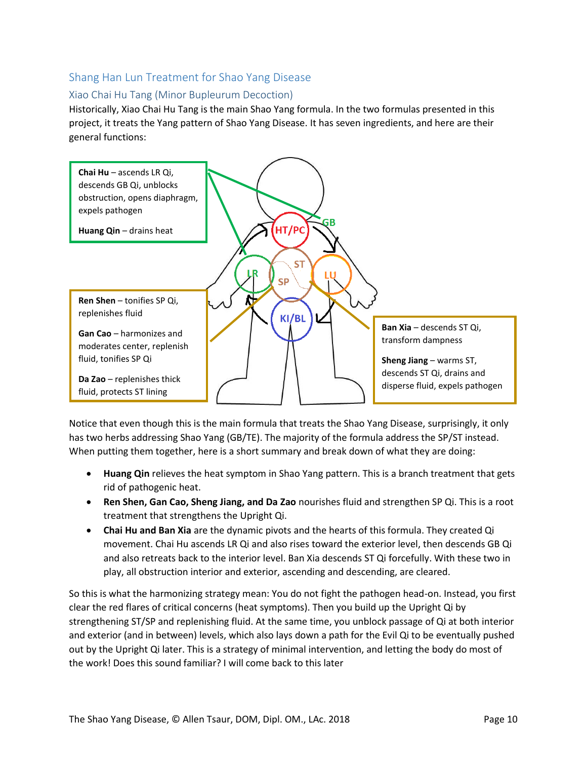#### <span id="page-10-0"></span>Shang Han Lun Treatment for Shao Yang Disease

#### <span id="page-10-1"></span>Xiao Chai Hu Tang (Minor Bupleurum Decoction)

Historically, Xiao Chai Hu Tang is the main Shao Yang formula. In the two formulas presented in this project, it treats the Yang pattern of Shao Yang Disease. It has seven ingredients, and here are their general functions:



Notice that even though this is the main formula that treats the Shao Yang Disease, surprisingly, it only has two herbs addressing Shao Yang (GB/TE). The majority of the formula address the SP/ST instead. When putting them together, here is a short summary and break down of what they are doing:

- **Huang Qin** relieves the heat symptom in Shao Yang pattern. This is a branch treatment that gets rid of pathogenic heat.
- **Ren Shen, Gan Cao, Sheng Jiang, and Da Zao** nourishes fluid and strengthen SP Qi. This is a root treatment that strengthens the Upright Qi.
- **Chai Hu and Ban Xia** are the dynamic pivots and the hearts of this formula. They created Qi movement. Chai Hu ascends LR Qi and also rises toward the exterior level, then descends GB Qi and also retreats back to the interior level. Ban Xia descends ST Qi forcefully. With these two in play, all obstruction interior and exterior, ascending and descending, are cleared.

So this is what the harmonizing strategy mean: You do not fight the pathogen head-on. Instead, you first clear the red flares of critical concerns (heat symptoms). Then you build up the Upright Qi by strengthening ST/SP and replenishing fluid. At the same time, you unblock passage of Qi at both interior and exterior (and in between) levels, which also lays down a path for the Evil Qi to be eventually pushed out by the Upright Qi later. This is a strategy of minimal intervention, and letting the body do most of the work! Does this sound familiar? I will come back to this later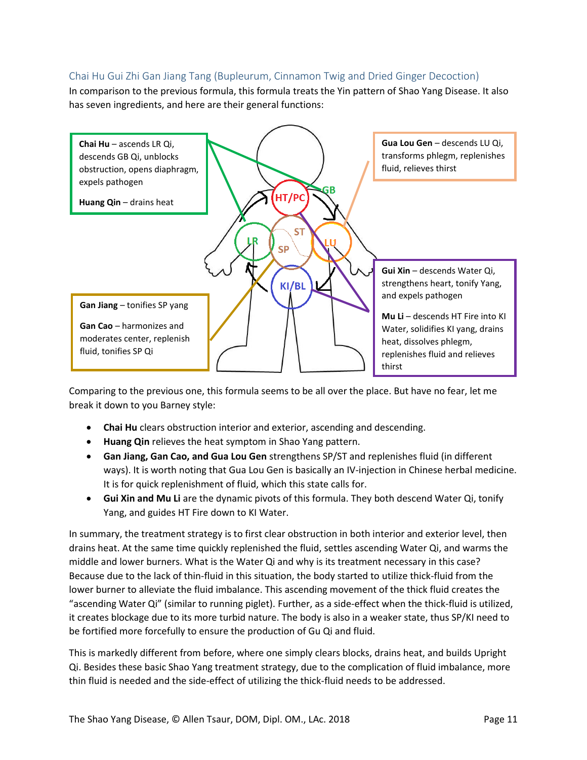#### <span id="page-11-0"></span>Chai Hu Gui Zhi Gan Jiang Tang (Bupleurum, Cinnamon Twig and Dried Ginger Decoction)

In comparison to the previous formula, this formula treats the Yin pattern of Shao Yang Disease. It also has seven ingredients, and here are their general functions:



Comparing to the previous one, this formula seems to be all over the place. But have no fear, let me break it down to you Barney style:

- **Chai Hu** clears obstruction interior and exterior, ascending and descending.
- **Huang Qin** relieves the heat symptom in Shao Yang pattern.
- **Gan Jiang, Gan Cao, and Gua Lou Gen** strengthens SP/ST and replenishes fluid (in different ways). It is worth noting that Gua Lou Gen is basically an IV-injection in Chinese herbal medicine. It is for quick replenishment of fluid, which this state calls for.
- **Gui Xin and Mu Li** are the dynamic pivots of this formula. They both descend Water Qi, tonify Yang, and guides HT Fire down to KI Water.

In summary, the treatment strategy is to first clear obstruction in both interior and exterior level, then drains heat. At the same time quickly replenished the fluid, settles ascending Water Qi, and warms the middle and lower burners. What is the Water Qi and why is its treatment necessary in this case? Because due to the lack of thin-fluid in this situation, the body started to utilize thick-fluid from the lower burner to alleviate the fluid imbalance. This ascending movement of the thick fluid creates the "ascending Water Qi" (similar to running piglet). Further, as a side-effect when the thick-fluid is utilized, it creates blockage due to its more turbid nature. The body is also in a weaker state, thus SP/KI need to be fortified more forcefully to ensure the production of Gu Qi and fluid.

This is markedly different from before, where one simply clears blocks, drains heat, and builds Upright Qi. Besides these basic Shao Yang treatment strategy, due to the complication of fluid imbalance, more thin fluid is needed and the side-effect of utilizing the thick-fluid needs to be addressed.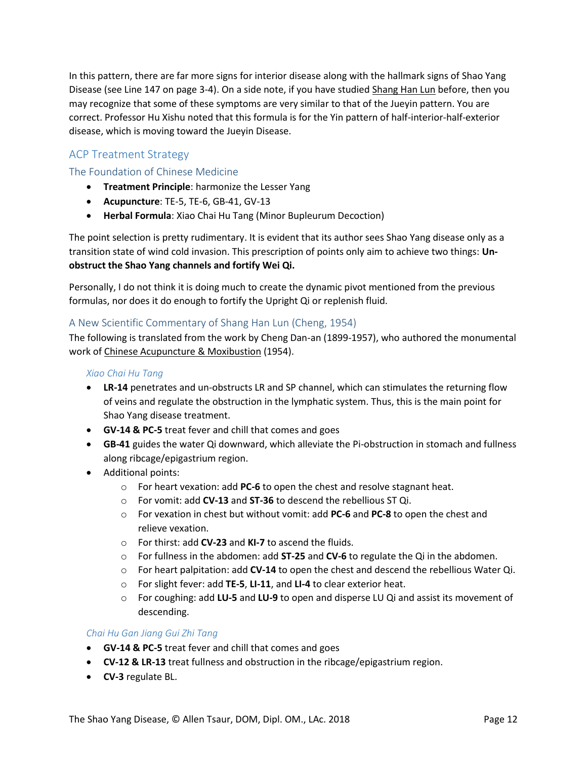In this pattern, there are far more signs for interior disease along with the hallmark signs of Shao Yang Disease (see Line 147 on page 3-4). On a side note, if you have studied Shang Han Lun before, then you may recognize that some of these symptoms are very similar to that of the Jueyin pattern. You are correct. Professor Hu Xishu noted that this formula is for the Yin pattern of half-interior-half-exterior disease, which is moving toward the Jueyin Disease.

#### <span id="page-12-0"></span>ACP Treatment Strategy

#### <span id="page-12-1"></span>The Foundation of Chinese Medicine

- **Treatment Principle**: harmonize the Lesser Yang
- **Acupuncture**: TE-5, TE-6, GB-41, GV-13
- **Herbal Formula**: Xiao Chai Hu Tang (Minor Bupleurum Decoction)

The point selection is pretty rudimentary. It is evident that its author sees Shao Yang disease only as a transition state of wind cold invasion. This prescription of points only aim to achieve two things: **Unobstruct the Shao Yang channels and fortify Wei Qi.** 

Personally, I do not think it is doing much to create the dynamic pivot mentioned from the previous formulas, nor does it do enough to fortify the Upright Qi or replenish fluid.

#### <span id="page-12-2"></span>A New Scientific Commentary of Shang Han Lun (Cheng, 1954)

The following is translated from the work by Cheng Dan-an (1899-1957), who authored the monumental work of Chinese Acupuncture & Moxibustion (1954).

#### *Xiao Chai Hu Tang*

- **LR-14** penetrates and un-obstructs LR and SP channel, which can stimulates the returning flow of veins and regulate the obstruction in the lymphatic system. Thus, this is the main point for Shao Yang disease treatment.
- **GV-14 & PC-5** treat fever and chill that comes and goes
- **GB-41** guides the water Qi downward, which alleviate the Pi-obstruction in stomach and fullness along ribcage/epigastrium region.
- Additional points:
	- o For heart vexation: add **PC-6** to open the chest and resolve stagnant heat.
	- o For vomit: add **CV-13** and **ST-36** to descend the rebellious ST Qi.
	- o For vexation in chest but without vomit: add **PC-6** and **PC-8** to open the chest and relieve vexation.
	- o For thirst: add **CV-23** and **KI-7** to ascend the fluids.
	- o For fullness in the abdomen: add **ST-25** and **CV-6** to regulate the Qi in the abdomen.
	- o For heart palpitation: add **CV-14** to open the chest and descend the rebellious Water Qi.
	- o For slight fever: add **TE-5**, **LI-11**, and **LI-4** to clear exterior heat.
	- o For coughing: add **LU-5** and **LU-9** to open and disperse LU Qi and assist its movement of descending.

#### *Chai Hu Gan Jiang Gui Zhi Tang*

- **GV-14 & PC-5** treat fever and chill that comes and goes
- **CV-12 & LR-13** treat fullness and obstruction in the ribcage/epigastrium region.
- **CV-3** regulate BL.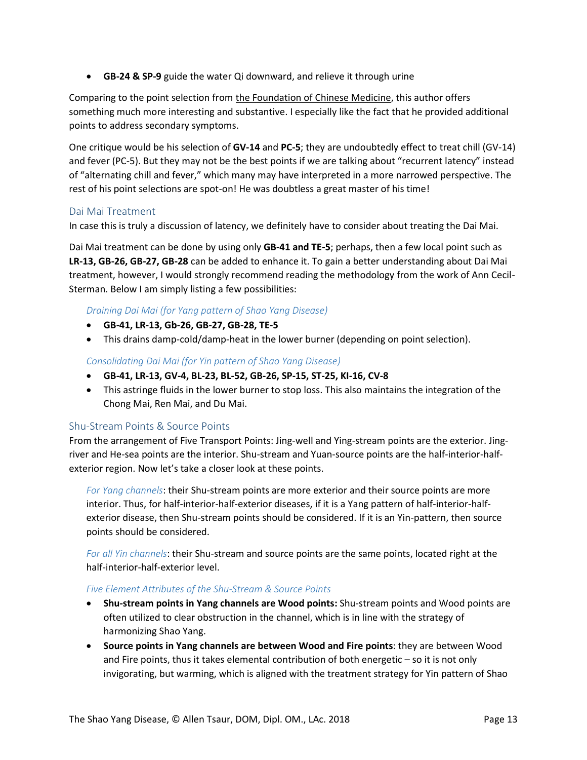• **GB-24 & SP-9** guide the water Qi downward, and relieve it through urine

Comparing to the point selection from the Foundation of Chinese Medicine, this author offers something much more interesting and substantive. I especially like the fact that he provided additional points to address secondary symptoms.

One critique would be his selection of **GV-14** and **PC-5**; they are undoubtedly effect to treat chill (GV-14) and fever (PC-5). But they may not be the best points if we are talking about "recurrent latency" instead of "alternating chill and fever," which many may have interpreted in a more narrowed perspective. The rest of his point selections are spot-on! He was doubtless a great master of his time!

#### <span id="page-13-0"></span>Dai Mai Treatment

In case this is truly a discussion of latency, we definitely have to consider about treating the Dai Mai.

Dai Mai treatment can be done by using only **GB-41 and TE-5**; perhaps, then a few local point such as **LR-13, GB-26, GB-27, GB-28** can be added to enhance it. To gain a better understanding about Dai Mai treatment, however, I would strongly recommend reading the methodology from the work of Ann Cecil-Sterman. Below I am simply listing a few possibilities:

#### *Draining Dai Mai (for Yang pattern of Shao Yang Disease)*

- **GB-41, LR-13, Gb-26, GB-27, GB-28, TE-5**
- This drains damp-cold/damp-heat in the lower burner (depending on point selection).

*Consolidating Dai Mai (for Yin pattern of Shao Yang Disease)*

- **GB-41, LR-13, GV-4, BL-23, BL-52, GB-26, SP-15, ST-25, KI-16, CV-8**
- This astringe fluids in the lower burner to stop loss. This also maintains the integration of the Chong Mai, Ren Mai, and Du Mai.

#### <span id="page-13-1"></span>Shu-Stream Points & Source Points

From the arrangement of Five Transport Points: Jing-well and Ying-stream points are the exterior. Jingriver and He-sea points are the interior. Shu-stream and Yuan-source points are the half-interior-halfexterior region. Now let's take a closer look at these points.

*For Yang channels*: their Shu-stream points are more exterior and their source points are more interior. Thus, for half-interior-half-exterior diseases, if it is a Yang pattern of half-interior-halfexterior disease, then Shu-stream points should be considered. If it is an Yin-pattern, then source points should be considered.

*For all Yin channels*: their Shu-stream and source points are the same points, located right at the half-interior-half-exterior level.

#### *Five Element Attributes of the Shu-Stream & Source Points*

- **Shu-stream points in Yang channels are Wood points:** Shu-stream points and Wood points are often utilized to clear obstruction in the channel, which is in line with the strategy of harmonizing Shao Yang.
- **Source points in Yang channels are between Wood and Fire points**: they are between Wood and Fire points, thus it takes elemental contribution of both energetic – so it is not only invigorating, but warming, which is aligned with the treatment strategy for Yin pattern of Shao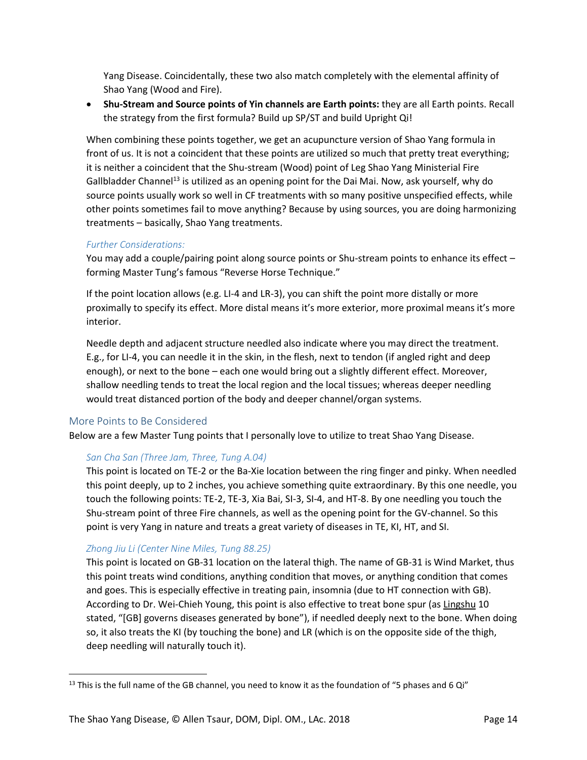Yang Disease. Coincidentally, these two also match completely with the elemental affinity of Shao Yang (Wood and Fire).

• **Shu-Stream and Source points of Yin channels are Earth points:** they are all Earth points. Recall the strategy from the first formula? Build up SP/ST and build Upright Qi!

When combining these points together, we get an acupuncture version of Shao Yang formula in front of us. It is not a coincident that these points are utilized so much that pretty treat everything; it is neither a coincident that the Shu-stream (Wood) point of Leg Shao Yang Ministerial Fire Gallbladder Channel<sup>13</sup> is utilized as an opening point for the Dai Mai. Now, ask yourself, why do source points usually work so well in CF treatments with so many positive unspecified effects, while other points sometimes fail to move anything? Because by using sources, you are doing harmonizing treatments – basically, Shao Yang treatments.

#### *Further Considerations:*

You may add a couple/pairing point along source points or Shu-stream points to enhance its effect – forming Master Tung's famous "Reverse Horse Technique."

If the point location allows (e.g. LI-4 and LR-3), you can shift the point more distally or more proximally to specify its effect. More distal means it's more exterior, more proximal means it's more interior.

Needle depth and adjacent structure needled also indicate where you may direct the treatment. E.g., for LI-4, you can needle it in the skin, in the flesh, next to tendon (if angled right and deep enough), or next to the bone – each one would bring out a slightly different effect. Moreover, shallow needling tends to treat the local region and the local tissues; whereas deeper needling would treat distanced portion of the body and deeper channel/organ systems.

#### <span id="page-14-0"></span>More Points to Be Considered

 $\overline{\phantom{a}}$ 

Below are a few Master Tung points that I personally love to utilize to treat Shao Yang Disease.

#### *San Cha San (Three Jam, Three, Tung A.04)*

This point is located on TE-2 or the Ba-Xie location between the ring finger and pinky. When needled this point deeply, up to 2 inches, you achieve something quite extraordinary. By this one needle, you touch the following points: TE-2, TE-3, Xia Bai, SI-3, SI-4, and HT-8. By one needling you touch the Shu-stream point of three Fire channels, as well as the opening point for the GV-channel. So this point is very Yang in nature and treats a great variety of diseases in TE, KI, HT, and SI.

#### *Zhong Jiu Li (Center Nine Miles, Tung 88.25)*

This point is located on GB-31 location on the lateral thigh. The name of GB-31 is Wind Market, thus this point treats wind conditions, anything condition that moves, or anything condition that comes and goes. This is especially effective in treating pain, insomnia (due to HT connection with GB). According to Dr. Wei-Chieh Young, this point is also effective to treat bone spur (as Lingshu 10 stated, "[GB] governs diseases generated by bone"), if needled deeply next to the bone. When doing so, it also treats the KI (by touching the bone) and LR (which is on the opposite side of the thigh, deep needling will naturally touch it).

 $13$  This is the full name of the GB channel, you need to know it as the foundation of "5 phases and 6 Qi"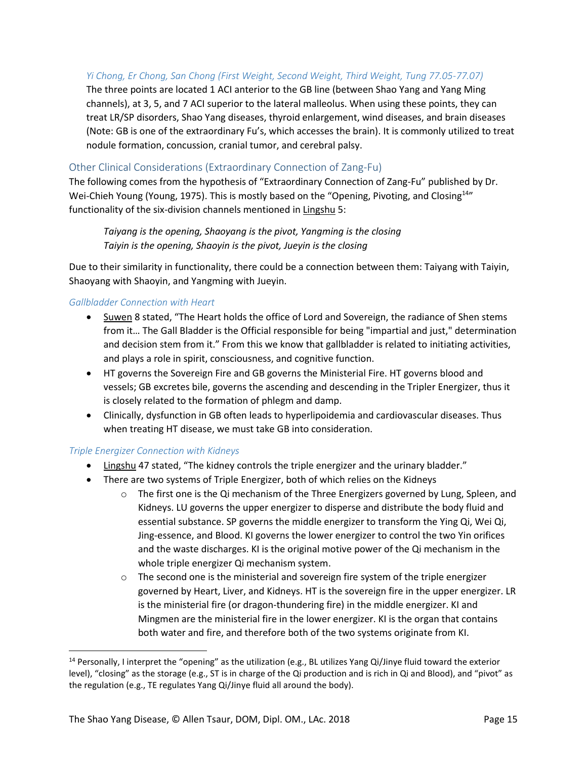#### *Yi Chong, Er Chong, San Chong (First Weight, Second Weight, Third Weight, Tung 77.05-77.07)*

The three points are located 1 ACI anterior to the GB line (between Shao Yang and Yang Ming channels), at 3, 5, and 7 ACI superior to the lateral malleolus. When using these points, they can treat LR/SP disorders, Shao Yang diseases, thyroid enlargement, wind diseases, and brain diseases (Note: GB is one of the extraordinary Fu's, which accesses the brain). It is commonly utilized to treat nodule formation, concussion, cranial tumor, and cerebral palsy.

#### <span id="page-15-0"></span>Other Clinical Considerations (Extraordinary Connection of Zang-Fu)

The following comes from the hypothesis of "Extraordinary Connection of Zang-Fu" published by Dr. Wei-Chieh Young (Young, 1975). This is mostly based on the "Opening, Pivoting, and Closing<sup>14</sup>" functionality of the six-division channels mentioned in Lingshu 5:

*Taiyang is the opening, Shaoyang is the pivot, Yangming is the closing Taiyin is the opening, Shaoyin is the pivot, Jueyin is the closing*

Due to their similarity in functionality, there could be a connection between them: Taiyang with Taiyin, Shaoyang with Shaoyin, and Yangming with Jueyin.

#### *Gallbladder Connection with Heart*

- Suwen 8 stated, "The Heart holds the office of Lord and Sovereign, the radiance of Shen stems from it… The Gall Bladder is the Official responsible for being "impartial and just," determination and decision stem from it." From this we know that gallbladder is related to initiating activities, and plays a role in spirit, consciousness, and cognitive function.
- HT governs the Sovereign Fire and GB governs the Ministerial Fire. HT governs blood and vessels; GB excretes bile, governs the ascending and descending in the Tripler Energizer, thus it is closely related to the formation of phlegm and damp.
- Clinically, dysfunction in GB often leads to hyperlipoidemia and cardiovascular diseases. Thus when treating HT disease, we must take GB into consideration.

#### *Triple Energizer Connection with Kidneys*

 $\overline{a}$ 

- Lingshu 47 stated, "The kidney controls the triple energizer and the urinary bladder."
- There are two systems of Triple Energizer, both of which relies on the Kidneys
	- $\circ$  The first one is the Qi mechanism of the Three Energizers governed by Lung, Spleen, and Kidneys. LU governs the upper energizer to disperse and distribute the body fluid and essential substance. SP governs the middle energizer to transform the Ying Qi, Wei Qi, Jing-essence, and Blood. KI governs the lower energizer to control the two Yin orifices and the waste discharges. KI is the original motive power of the Qi mechanism in the whole triple energizer Qi mechanism system.
	- $\circ$  The second one is the ministerial and sovereign fire system of the triple energizer governed by Heart, Liver, and Kidneys. HT is the sovereign fire in the upper energizer. LR is the ministerial fire (or dragon-thundering fire) in the middle energizer. KI and Mingmen are the ministerial fire in the lower energizer. KI is the organ that contains both water and fire, and therefore both of the two systems originate from KI.

<sup>&</sup>lt;sup>14</sup> Personally, I interpret the "opening" as the utilization (e.g., BL utilizes Yang Qi/Jinye fluid toward the exterior level), "closing" as the storage (e.g., ST is in charge of the Qi production and is rich in Qi and Blood), and "pivot" as the regulation (e.g., TE regulates Yang Qi/Jinye fluid all around the body).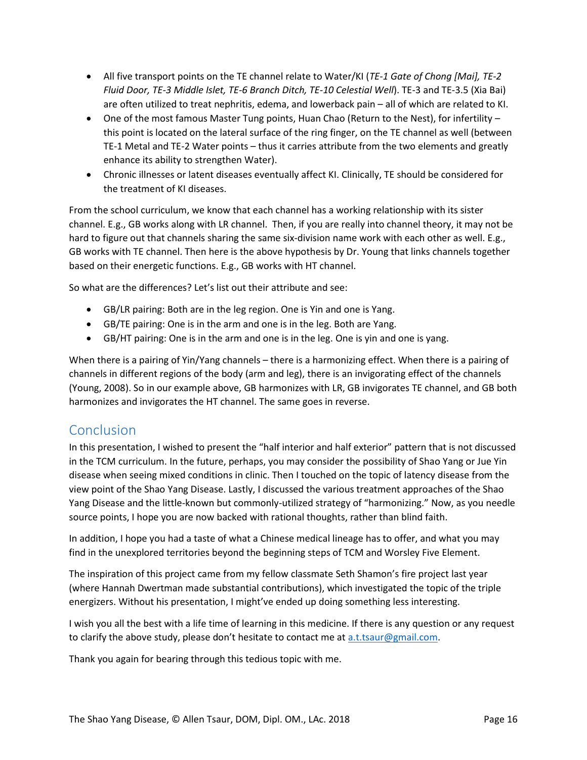- All five transport points on the TE channel relate to Water/KI (*TE-1 Gate of Chong [Mai], TE-2 Fluid Door, TE-3 Middle Islet, TE-6 Branch Ditch, TE-10 Celestial Well*). TE-3 and TE-3.5 (Xia Bai) are often utilized to treat nephritis, edema, and lowerback pain – all of which are related to KI.
- One of the most famous Master Tung points, Huan Chao (Return to the Nest), for infertility this point is located on the lateral surface of the ring finger, on the TE channel as well (between TE-1 Metal and TE-2 Water points – thus it carries attribute from the two elements and greatly enhance its ability to strengthen Water).
- Chronic illnesses or latent diseases eventually affect KI. Clinically, TE should be considered for the treatment of KI diseases.

From the school curriculum, we know that each channel has a working relationship with its sister channel. E.g., GB works along with LR channel. Then, if you are really into channel theory, it may not be hard to figure out that channels sharing the same six-division name work with each other as well. E.g., GB works with TE channel. Then here is the above hypothesis by Dr. Young that links channels together based on their energetic functions. E.g., GB works with HT channel.

So what are the differences? Let's list out their attribute and see:

- GB/LR pairing: Both are in the leg region. One is Yin and one is Yang.
- GB/TE pairing: One is in the arm and one is in the leg. Both are Yang.
- GB/HT pairing: One is in the arm and one is in the leg. One is yin and one is yang.

When there is a pairing of Yin/Yang channels – there is a harmonizing effect. When there is a pairing of channels in different regions of the body (arm and leg), there is an invigorating effect of the channels (Young, 2008). So in our example above, GB harmonizes with LR, GB invigorates TE channel, and GB both harmonizes and invigorates the HT channel. The same goes in reverse.

#### <span id="page-16-0"></span>Conclusion

In this presentation, I wished to present the "half interior and half exterior" pattern that is not discussed in the TCM curriculum. In the future, perhaps, you may consider the possibility of Shao Yang or Jue Yin disease when seeing mixed conditions in clinic. Then I touched on the topic of latency disease from the view point of the Shao Yang Disease. Lastly, I discussed the various treatment approaches of the Shao Yang Disease and the little-known but commonly-utilized strategy of "harmonizing." Now, as you needle source points, I hope you are now backed with rational thoughts, rather than blind faith.

In addition, I hope you had a taste of what a Chinese medical lineage has to offer, and what you may find in the unexplored territories beyond the beginning steps of TCM and Worsley Five Element.

The inspiration of this project came from my fellow classmate Seth Shamon's fire project last year (where Hannah Dwertman made substantial contributions), which investigated the topic of the triple energizers. Without his presentation, I might've ended up doing something less interesting.

I wish you all the best with a life time of learning in this medicine. If there is any question or any request to clarify the above study, please don't hesitate to contact me at [a.t.tsaur@gmail.com.](mailto:a.t.tsaur@gmail.com)

Thank you again for bearing through this tedious topic with me.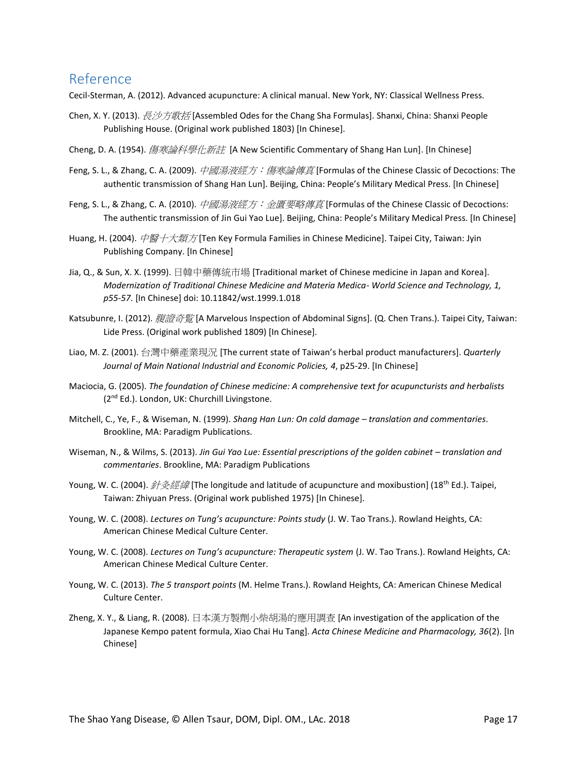### <span id="page-17-0"></span>Reference

Cecil-Sterman, A. (2012). Advanced acupuncture: A clinical manual. New York, NY: Classical Wellness Press.

- Chen, X. Y. (2013). *長沙方歌括* [Assembled Odes for the Chang Sha Formulas]. Shanxi, China: Shanxi People Publishing House. (Original work published 1803) [In Chinese].
- Cheng, D. A. (1954). *傷寒論科學化新註* [A New Scientific Commentary of Shang Han Lun]. [In Chinese]
- Feng, S. L., & Zhang, C. A. (2009). 中國湯液經方: 傷寒論傳真 [Formulas of the Chinese Classic of Decoctions: The authentic transmission of Shang Han Lun]. Beijing, China: People's Military Medical Press. [In Chinese]
- Feng, S. L., & Zhang, C. A. (2010). 中國湯液經方: 金匱要略傳真 [Formulas of the Chinese Classic of Decoctions: The authentic transmission of Jin Gui Yao Lue]. Beijing, China: People's Military Medical Press. [In Chinese]
- Huang, H. (2004). 中醫十大類方 [Ten Key Formula Families in Chinese Medicine]. Taipei City, Taiwan: Jyin Publishing Company. [In Chinese]
- Jia, Q., & Sun, X. X. (1999). 日韓中藥傳統市場 [Traditional market of Chinese medicine in Japan and Korea]. *Modernization of Traditional Chinese Medicine and Materia Medica- World Science and Technology, 1, p55-57*. [In Chinese] doi: 10.11842/wst.1999.1.018
- Katsubunre, I. (2012). 腹證奇覧 [A Marvelous Inspection of Abdominal Signs]. (Q. Chen Trans.). Taipei City, Taiwan: Lide Press. (Original work published 1809) [In Chinese].
- Liao, M. Z. (2001). 台灣中藥產業現況 [The current state of Taiwan's herbal product manufacturers]. *Quarterly Journal of Main National Industrial and Economic Policies, 4*, p25-29. [In Chinese]
- Maciocia, G. (2005). *The foundation of Chinese medicine: A comprehensive text for acupuncturists and herbalists* (2<sup>nd</sup> Ed.). London, UK: Churchill Livingstone.
- Mitchell, C., Ye, F., & Wiseman, N. (1999). *Shang Han Lun: On cold damage – translation and commentaries*. Brookline, MA: Paradigm Publications.
- Wiseman, N., & Wilms, S. (2013). *Jin Gui Yao Lue: Essential prescriptions of the golden cabinet translation and commentaries*. Brookline, MA: Paradigm Publications
- Young, W. C. (2004). 針灸經緯 [The longitude and latitude of acupuncture and moxibustion] (18<sup>th</sup> Ed.). Taipei, Taiwan: Zhiyuan Press. (Original work published 1975) [In Chinese].
- Young, W. C. (2008). *Lectures on Tung's acupuncture: Points study* (J. W. Tao Trans.). Rowland Heights, CA: American Chinese Medical Culture Center.
- Young, W. C. (2008). *Lectures on Tung's acupuncture: Therapeutic system* (J. W. Tao Trans.). Rowland Heights, CA: American Chinese Medical Culture Center.
- Young, W. C. (2013). *The 5 transport points* (M. Helme Trans.). Rowland Heights, CA: American Chinese Medical Culture Center.
- Zheng, X. Y., & Liang, R. (2008). 日本漢方製劑小柴胡湯的應用調查 [An investigation of the application of the Japanese Kempo patent formula, Xiao Chai Hu Tang]. *Acta Chinese Medicine and Pharmacology, 36*(2). [In Chinese]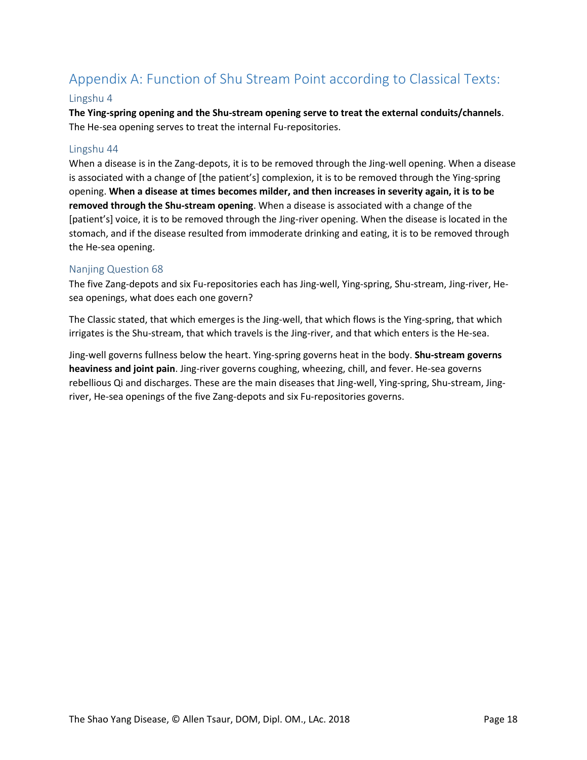## <span id="page-18-0"></span>Appendix A: Function of Shu Stream Point according to Classical Texts:

#### Lingshu 4

**The Ying-spring opening and the Shu-stream opening serve to treat the external conduits/channels**. The He-sea opening serves to treat the internal Fu-repositories.

#### Lingshu 44

When a disease is in the Zang-depots, it is to be removed through the Jing-well opening. When a disease is associated with a change of [the patient's] complexion, it is to be removed through the Ying-spring opening. **When a disease at times becomes milder, and then increases in severity again, it is to be removed through the Shu-stream opening**. When a disease is associated with a change of the [patient's] voice, it is to be removed through the Jing-river opening. When the disease is located in the stomach, and if the disease resulted from immoderate drinking and eating, it is to be removed through the He-sea opening.

#### Nanjing Question 68

The five Zang-depots and six Fu-repositories each has Jing-well, Ying-spring, Shu-stream, Jing-river, Hesea openings, what does each one govern?

The Classic stated, that which emerges is the Jing-well, that which flows is the Ying-spring, that which irrigates is the Shu-stream, that which travels is the Jing-river, and that which enters is the He-sea.

Jing-well governs fullness below the heart. Ying-spring governs heat in the body. **Shu-stream governs heaviness and joint pain**. Jing-river governs coughing, wheezing, chill, and fever. He-sea governs rebellious Qi and discharges. These are the main diseases that Jing-well, Ying-spring, Shu-stream, Jingriver, He-sea openings of the five Zang-depots and six Fu-repositories governs.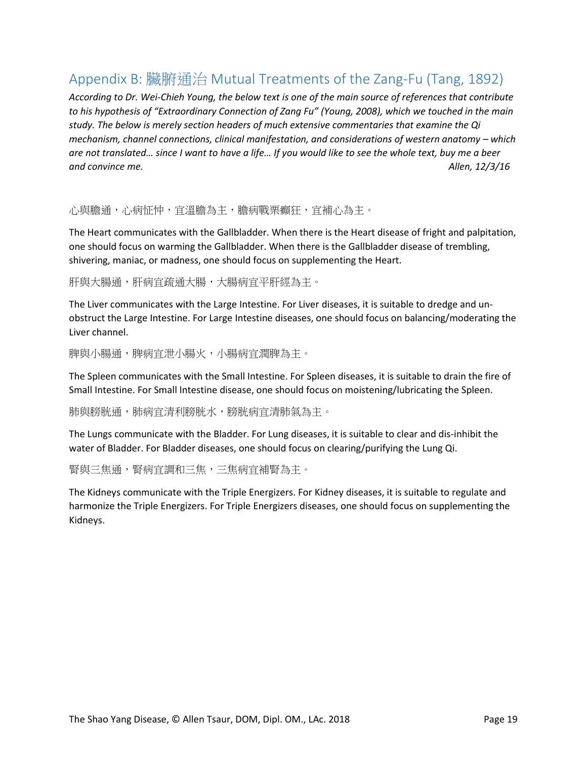## <span id="page-19-0"></span>Appendix B: 臟腑通治 Mutual Treatments of the Zang-Fu (Tang, 1892)

*According to Dr. Wei-Chieh Young, the below text is one of the main source of references that contribute to his hypothesis of "Extraordinary Connection of Zang Fu" (Young, 2008), which we touched in the main study. The below is merely section headers of much extensive commentaries that examine the Qi mechanism, channel connections, clinical manifestation, and considerations of western anatomy – which* are not translated... since I want to have a life... If you would like to see the whole text, buy me a beer *and convince me. Allen, 12/3/16*

心與膽通,心病怔忡,宜溫膽為主,膽病戰栗癲狂,宜補心為主。

The Heart communicates with the Gallbladder. When there is the Heart disease of fright and palpitation, one should focus on warming the Gallbladder. When there is the Gallbladder disease of trembling, shivering, maniac, or madness, one should focus on supplementing the Heart.

肝與大腸通,肝病宜疏通大腸,大腸病宜平肝經為主。

The Liver communicates with the Large Intestine. For Liver diseases, it is suitable to dredge and unobstruct the Large Intestine. For Large Intestine diseases, one should focus on balancing/moderating the Liver channel.

脾與小腸通,脾病宜泄小腸火,小腸病宜潤脾為主。

The Spleen communicates with the Small Intestine. For Spleen diseases, it is suitable to drain the fire of Small Intestine. For Small Intestine disease, one should focus on moistening/lubricating the Spleen.

肺與膀胱通,肺病宜清利膀胱水,膀胱病宜清肺氣為主。

The Lungs communicate with the Bladder. For Lung diseases, it is suitable to clear and dis-inhibit the water of Bladder. For Bladder diseases, one should focus on clearing/purifying the Lung Qi.

腎與三焦通,腎病宜調和三焦,三焦病宜補腎為主。

The Kidneys communicate with the Triple Energizers. For Kidney diseases, it is suitable to regulate and harmonize the Triple Energizers. For Triple Energizers diseases, one should focus on supplementing the Kidneys.